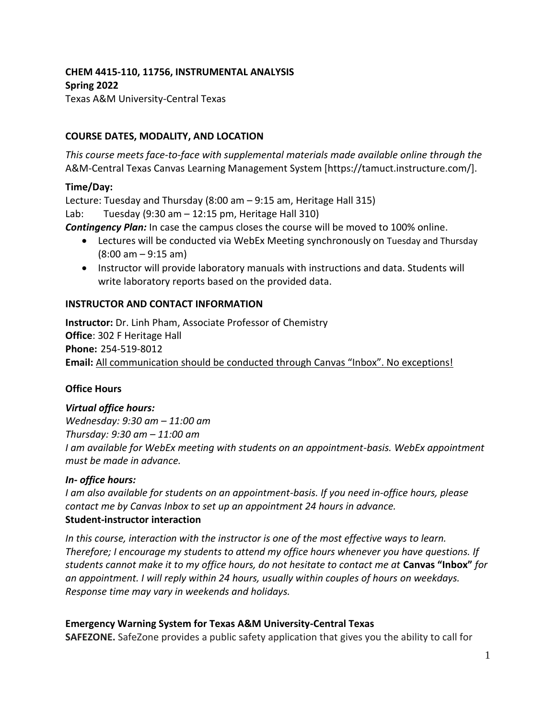# **CHEM 4415-110, 11756, INSTRUMENTAL ANALYSIS Spring 2022**

Texas A&M University-Central Texas

# **COURSE DATES, MODALITY, AND LOCATION**

*This course meets face-to-face with supplemental materials made available online through the*  A&M-Central Texas Canvas Learning Management System [https://tamuct.instructure.com/].

## **Time/Day:**

Lecture: Tuesday and Thursday (8:00 am – 9:15 am, Heritage Hall 315)

Lab: Tuesday (9:30 am – 12:15 pm, Heritage Hall 310)

*Contingency Plan:* In case the campus closes the course will be moved to 100% online.

- Lectures will be conducted via WebEx Meeting synchronously on Tuesday and Thursday (8:00 am – 9:15 am)
- Instructor will provide laboratory manuals with instructions and data. Students will write laboratory reports based on the provided data.

## **INSTRUCTOR AND CONTACT INFORMATION**

**Instructor:** Dr. Linh Pham, Associate Professor of Chemistry **Office**: 302 F Heritage Hall **Phone:** 254-519-8012 **Email:** All communication should be conducted through Canvas "Inbox". No exceptions!

#### **Office Hours**

#### *Virtual office hours:*

*Wednesday: 9:30 am – 11:00 am Thursday: 9:30 am – 11:00 am I am available for WebEx meeting with students on an appointment-basis. WebEx appointment must be made in advance.* 

#### *In- office hours:*

*I am also available for students on an appointment-basis. If you need in-office hours, please contact me by Canvas Inbox to set up an appointment 24 hours in advance.*  **Student-instructor interaction**

*In this course, interaction with the instructor is one of the most effective ways to learn. Therefore; I encourage my students to attend my office hours whenever you have questions. If students cannot make it to my office hours, do not hesitate to contact me at* **Canvas "Inbox"** *for an appointment. I will reply within 24 hours, usually within couples of hours on weekdays. Response time may vary in weekends and holidays.* 

# **Emergency Warning System for Texas A&M University-Central Texas**

**SAFEZONE.** SafeZone provides a public safety application that gives you the ability to call for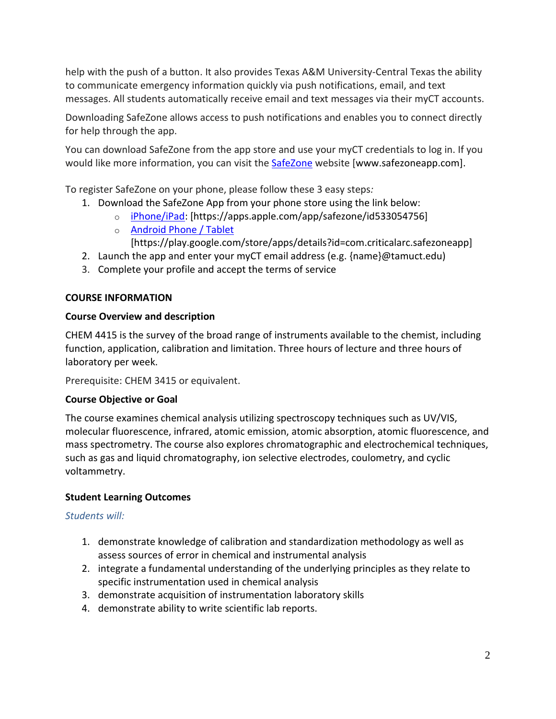help with the push of a button. It also provides Texas A&M University-Central Texas the ability to communicate emergency information quickly via push notifications, email, and text messages. All students automatically receive email and text messages via their myCT accounts.

Downloading SafeZone allows access to push notifications and enables you to connect directly for help through the app.

You can download SafeZone from the app store and use your myCT credentials to log in. If you would like more information, you can visit the [SafeZone](http://www.safezoneapp.com/) website [www.safezoneapp.com].

To register SafeZone on your phone, please follow these 3 easy steps*:*

- 1. Download the SafeZone App from your phone store using the link below:
	- o [iPhone/iPad:](https://apps.apple.com/app/safezone/id533054756) [https://apps.apple.com/app/safezone/id533054756]
	- o **[Android Phone / Tablet](https://play.google.com/store/apps/details?id=com.criticalarc.safezoneapp)**

[https://play.google.com/store/apps/details?id=com.criticalarc.safezoneapp]

- 2. Launch the app and enter your myCT email address (e.g. {name}@tamuct.edu)
- 3. Complete your profile and accept the terms of service

# **COURSE INFORMATION**

## **Course Overview and description**

CHEM 4415 is the survey of the broad range of instruments available to the chemist, including function, application, calibration and limitation. Three hours of lecture and three hours of laboratory per week.

Prerequisite: CHEM 3415 or equivalent.

# **Course Objective or Goal**

The course examines chemical analysis utilizing spectroscopy techniques such as UV/VIS, molecular fluorescence, infrared, atomic emission, atomic absorption, atomic fluorescence, and mass spectrometry. The course also explores chromatographic and electrochemical techniques, such as gas and liquid chromatography, ion selective electrodes, coulometry, and cyclic voltammetry.

# **Student Learning Outcomes**

# *Students will:*

- 1. demonstrate knowledge of calibration and standardization methodology as well as assess sources of error in chemical and instrumental analysis
- 2. integrate a fundamental understanding of the underlying principles as they relate to specific instrumentation used in chemical analysis
- 3. demonstrate acquisition of instrumentation laboratory skills
- 4. demonstrate ability to write scientific lab reports.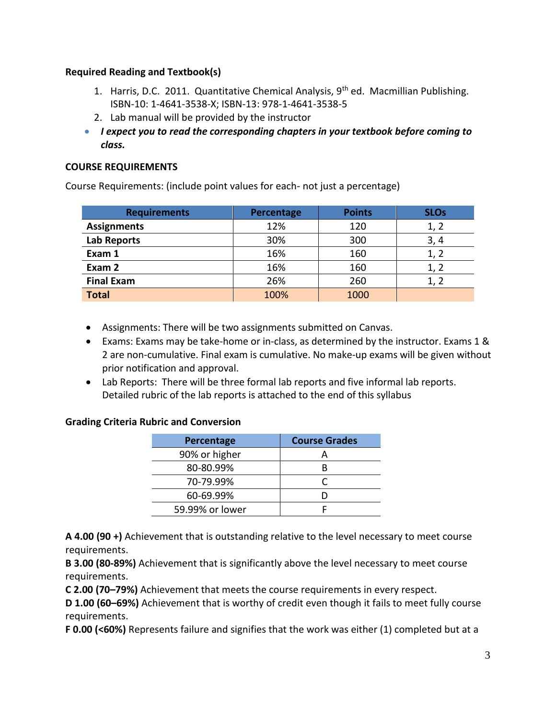## **Required Reading and Textbook(s)**

- 1. Harris, D.C. 2011. Quantitative Chemical Analysis, 9<sup>th</sup> ed. Macmillian Publishing. ISBN-10: 1-4641-3538-X; ISBN-13: 978-1-4641-3538-5
- 2. Lab manual will be provided by the instructor
- *I expect you to read the corresponding chapters in your textbook before coming to class.*

# **COURSE REQUIREMENTS**

Course Requirements: (include point values for each- not just a percentage)

| <b>Requirements</b> | Percentage | <b>Points</b> | <b>SLOs</b> |
|---------------------|------------|---------------|-------------|
| <b>Assignments</b>  | 12%        | 120           | 1, 2        |
| Lab Reports         | 30%        | 300           | 3,4         |
| Exam 1              | 16%        | 160           | 1, 2        |
| Exam 2              | 16%        | 160           |             |
| <b>Final Exam</b>   | 26%        | 260           |             |
| <b>Total</b>        | 100%       | 1000          |             |

- Assignments: There will be two assignments submitted on Canvas.
- Exams: Exams may be take-home or in-class, as determined by the instructor. Exams 1 & 2 are non-cumulative. Final exam is cumulative. No make-up exams will be given without prior notification and approval.
- Lab Reports: There will be three formal lab reports and five informal lab reports. Detailed rubric of the lab reports is attached to the end of this syllabus

# **Grading Criteria Rubric and Conversion**

| Percentage      | <b>Course Grades</b> |
|-----------------|----------------------|
| 90% or higher   |                      |
| 80-80.99%       |                      |
| 70-79.99%       |                      |
| 60-69.99%       |                      |
| 59.99% or lower |                      |

**A 4.00 (90 +)** Achievement that is outstanding relative to the level necessary to meet course requirements.

**B 3.00 (80-89%)** Achievement that is significantly above the level necessary to meet course requirements.

**C 2.00 (70–79%)** Achievement that meets the course requirements in every respect.

**D 1.00 (60–69%)** Achievement that is worthy of credit even though it fails to meet fully course requirements.

**F 0.00 (<60%)** Represents failure and signifies that the work was either (1) completed but at a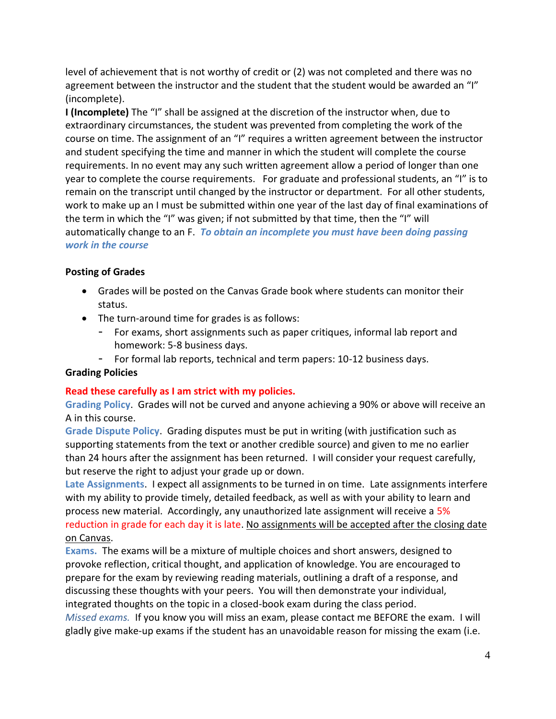level of achievement that is not worthy of credit or (2) was not completed and there was no agreement between the instructor and the student that the student would be awarded an "I" (incomplete).

**I (Incomplete)** The "I" shall be assigned at the discretion of the instructor when, due to extraordinary circumstances, the student was prevented from completing the work of the course on time. The assignment of an "I" requires a written agreement between the instructor and student specifying the time and manner in which the student will complete the course requirements. In no event may any such written agreement allow a period of longer than one year to complete the course requirements. For graduate and professional students, an "I" is to remain on the transcript until changed by the instructor or department. For all other students, work to make up an I must be submitted within one year of the last day of final examinations of the term in which the "I" was given; if not submitted by that time, then the "I" will automatically change to an F. *To obtain an incomplete you must have been doing passing work in the course*

# **Posting of Grades**

- Grades will be posted on the Canvas Grade book where students can monitor their status.
- The turn-around time for grades is as follows:
	- For exams, short assignments such as paper critiques, informal lab report and homework: 5-8 business days.
	- For formal lab reports, technical and term papers: 10-12 business days.

# **Grading Policies**

# **Read these carefully as I am strict with my policies.**

**Grading Policy**. Grades will not be curved and anyone achieving a 90% or above will receive an A in this course.

**Grade Dispute Policy**. Grading disputes must be put in writing (with justification such as supporting statements from the text or another credible source) and given to me no earlier than 24 hours after the assignment has been returned. I will consider your request carefully, but reserve the right to adjust your grade up or down.

**Late Assignments**. I expect all assignments to be turned in on time. Late assignments interfere with my ability to provide timely, detailed feedback, as well as with your ability to learn and process new material. Accordingly, any unauthorized late assignment will receive a 5% reduction in grade for each day it is late. No assignments will be accepted after the closing date on Canvas.

**Exams.** The exams will be a mixture of multiple choices and short answers, designed to provoke reflection, critical thought, and application of knowledge. You are encouraged to prepare for the exam by reviewing reading materials, outlining a draft of a response, and discussing these thoughts with your peers. You will then demonstrate your individual, integrated thoughts on the topic in a closed-book exam during the class period.

*Missed exams.* If you know you will miss an exam, please contact me BEFORE the exam. I will gladly give make-up exams if the student has an unavoidable reason for missing the exam (i.e.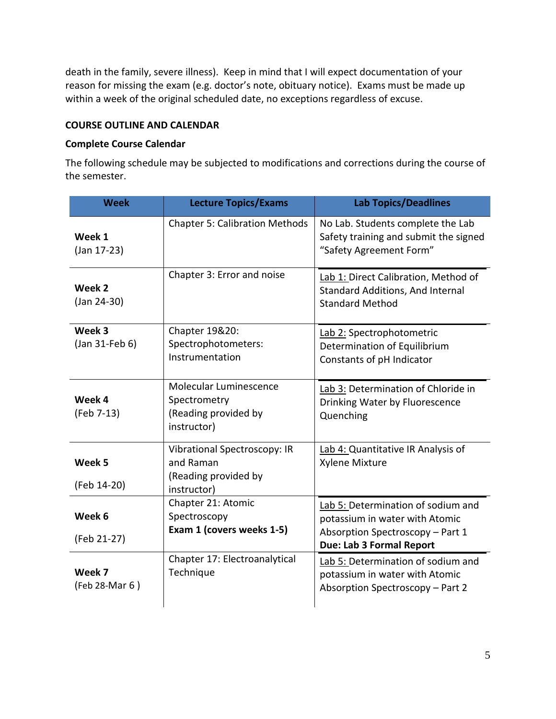death in the family, severe illness). Keep in mind that I will expect documentation of your reason for missing the exam (e.g. doctor's note, obituary notice). Exams must be made up within a week of the original scheduled date, no exceptions regardless of excuse.

## **COURSE OUTLINE AND CALENDAR**

### **Complete Course Calendar**

The following schedule may be subjected to modifications and corrections during the course of the semester.

| <b>Week</b>              | <b>Lecture Topics/Exams</b>                                                      | <b>Lab Topics/Deadlines</b>                                                                                                          |
|--------------------------|----------------------------------------------------------------------------------|--------------------------------------------------------------------------------------------------------------------------------------|
| Week 1<br>(Jan 17-23)    | <b>Chapter 5: Calibration Methods</b>                                            | No Lab. Students complete the Lab<br>Safety training and submit the signed<br>"Safety Agreement Form"                                |
| Week 2<br>$(Jan 24-30)$  | Chapter 3: Error and noise                                                       | Lab 1: Direct Calibration, Method of<br><b>Standard Additions, And Internal</b><br><b>Standard Method</b>                            |
| Week 3<br>(Jan 31-Feb 6) | Chapter 19&20:<br>Spectrophotometers:<br>Instrumentation                         | Lab 2: Spectrophotometric<br>Determination of Equilibrium<br>Constants of pH Indicator                                               |
| Week 4<br>(Feb 7-13)     | Molecular Luminescence<br>Spectrometry<br>(Reading provided by<br>instructor)    | Lab 3: Determination of Chloride in<br>Drinking Water by Fluorescence<br>Quenching                                                   |
| Week 5<br>(Feb 14-20)    | Vibrational Spectroscopy: IR<br>and Raman<br>(Reading provided by<br>instructor) | Lab 4: Quantitative IR Analysis of<br>Xylene Mixture                                                                                 |
| Week 6<br>(Feb 21-27)    | Chapter 21: Atomic<br>Spectroscopy<br>Exam 1 (covers weeks 1-5)                  | Lab 5: Determination of sodium and<br>potassium in water with Atomic<br>Absorption Spectroscopy - Part 1<br>Due: Lab 3 Formal Report |
| Week 7<br>(Feb 28-Mar 6) | Chapter 17: Electroanalytical<br>Technique                                       | Lab 5: Determination of sodium and<br>potassium in water with Atomic<br>Absorption Spectroscopy - Part 2                             |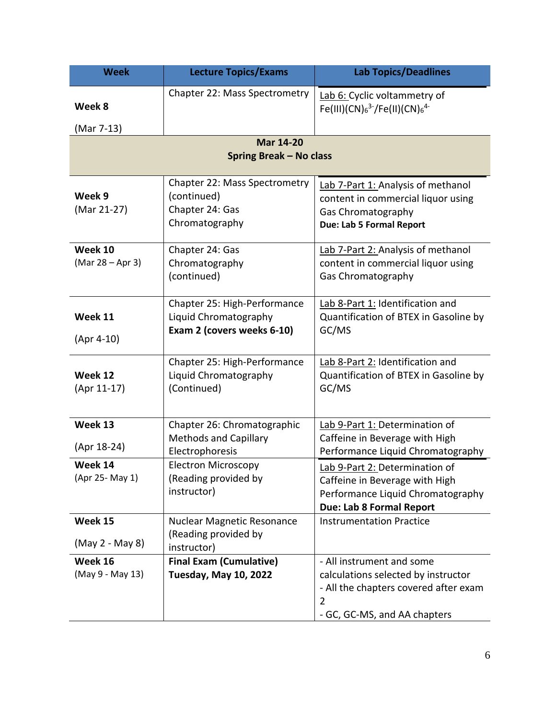| <b>Week</b>                   | <b>Lecture Topics/Exams</b>                                                         | <b>Lab Topics/Deadlines</b>                                                                                                                                 |  |  |  |  |
|-------------------------------|-------------------------------------------------------------------------------------|-------------------------------------------------------------------------------------------------------------------------------------------------------------|--|--|--|--|
| Week 8                        | Chapter 22: Mass Spectrometry                                                       | Lab 6: Cyclic voltammetry of<br>Fe(III)(CN) $_6^{3-}$ /Fe(II)(CN) $_6^{4-}$                                                                                 |  |  |  |  |
| (Mar 7-13)                    |                                                                                     |                                                                                                                                                             |  |  |  |  |
| <b>Mar 14-20</b>              |                                                                                     |                                                                                                                                                             |  |  |  |  |
|                               | <b>Spring Break - No class</b>                                                      |                                                                                                                                                             |  |  |  |  |
| Week 9<br>(Mar 21-27)         | Chapter 22: Mass Spectrometry<br>(continued)<br>Chapter 24: Gas<br>Chromatography   | Lab 7-Part 1: Analysis of methanol<br>content in commercial liquor using<br>Gas Chromatography<br><b>Due: Lab 5 Formal Report</b>                           |  |  |  |  |
| Week 10<br>$(Mar 28 - Apr 3)$ | Chapter 24: Gas<br>Chromatography<br>(continued)                                    | Lab 7-Part 2: Analysis of methanol<br>content in commercial liquor using<br>Gas Chromatography                                                              |  |  |  |  |
| Week 11<br>$(Apr 4-10)$       | Chapter 25: High-Performance<br>Liquid Chromatography<br>Exam 2 (covers weeks 6-10) | Lab 8-Part 1: Identification and<br>Quantification of BTEX in Gasoline by<br>GC/MS                                                                          |  |  |  |  |
| Week 12<br>(Apr 11-17)        | Chapter 25: High-Performance<br>Liquid Chromatography<br>(Continued)                | Lab 8-Part 2: Identification and<br>Quantification of BTEX in Gasoline by<br>GC/MS                                                                          |  |  |  |  |
| Week 13<br>(Apr 18-24)        | Chapter 26: Chromatographic<br><b>Methods and Capillary</b><br>Electrophoresis      | Lab 9-Part 1: Determination of<br>Caffeine in Beverage with High<br>Performance Liquid Chromatography                                                       |  |  |  |  |
| Week 14<br>(Apr 25- May 1)    | <b>Electron Microscopy</b><br>(Reading provided by<br>instructor)                   | Lab 9-Part 2: Determination of<br>Caffeine in Beverage with High<br>Performance Liquid Chromatography<br>Due: Lab 8 Formal Report                           |  |  |  |  |
| Week 15<br>(May 2 - May 8)    | <b>Nuclear Magnetic Resonance</b><br>(Reading provided by<br>instructor)            | <b>Instrumentation Practice</b>                                                                                                                             |  |  |  |  |
| Week 16<br>(May 9 - May 13)   | <b>Final Exam (Cumulative)</b><br>Tuesday, May 10, 2022                             | - All instrument and some<br>calculations selected by instructor<br>- All the chapters covered after exam<br>$\overline{2}$<br>- GC, GC-MS, and AA chapters |  |  |  |  |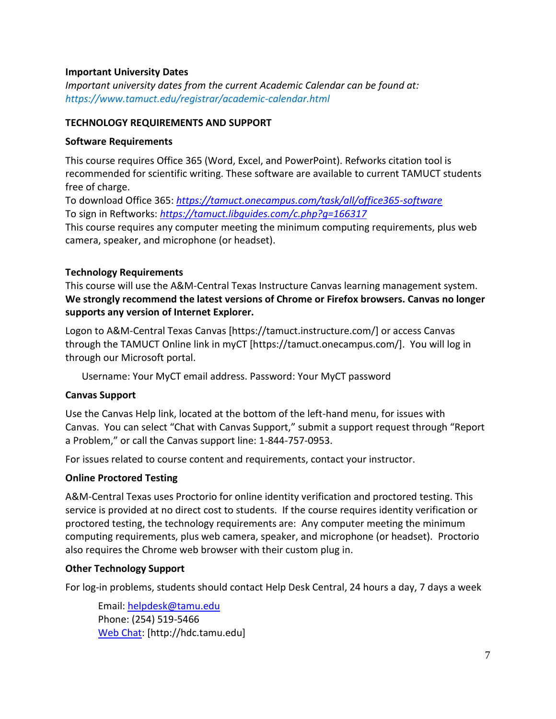## **Important University Dates**

*Important university dates from the current Academic Calendar can be found at: https://www.tamuct.edu/registrar/academic-calendar.html*

#### **TECHNOLOGY REQUIREMENTS AND SUPPORT**

#### **Software Requirements**

This course requires Office 365 (Word, Excel, and PowerPoint). Refworks citation tool is recommended for scientific writing. These software are available to current TAMUCT students free of charge.

To download Office 365: *<https://tamuct.onecampus.com/task/all/office365-software>* To sign in Reftworks: *<https://tamuct.libguides.com/c.php?g=166317>*

This course requires any computer meeting the minimum computing requirements, plus web camera, speaker, and microphone (or headset).

#### **Technology Requirements**

This course will use the A&M-Central Texas Instructure Canvas learning management system. **We strongly recommend the latest versions of Chrome or Firefox browsers. Canvas no longer supports any version of Internet Explorer.**

Logon to A&M-Central Texas Canvas [https://tamuct.instructure.com/] or access Canvas through the TAMUCT Online link in myCT [https://tamuct.onecampus.com/]. You will log in through our Microsoft portal.

Username: Your MyCT email address. Password: Your MyCT password

#### **Canvas Support**

Use the Canvas Help link, located at the bottom of the left-hand menu, for issues with Canvas. You can select "Chat with Canvas Support," submit a support request through "Report a Problem," or call the Canvas support line: 1-844-757-0953.

For issues related to course content and requirements, contact your instructor.

#### **Online Proctored Testing**

A&M-Central Texas uses Proctorio for online identity verification and proctored testing. This service is provided at no direct cost to students. If the course requires identity verification or proctored testing, the technology requirements are: Any computer meeting the minimum computing requirements, plus web camera, speaker, and microphone (or headset). Proctorio also requires the Chrome web browser with their custom plug in.

#### **Other Technology Support**

For log-in problems, students should contact Help Desk Central, 24 hours a day, 7 days a week

Email: [helpdesk@tamu.edu](mailto:helpdesk@tamu.edu) Phone: (254) 519-5466 [Web Chat:](http://hdc.tamu.edu/) [http://hdc.tamu.edu]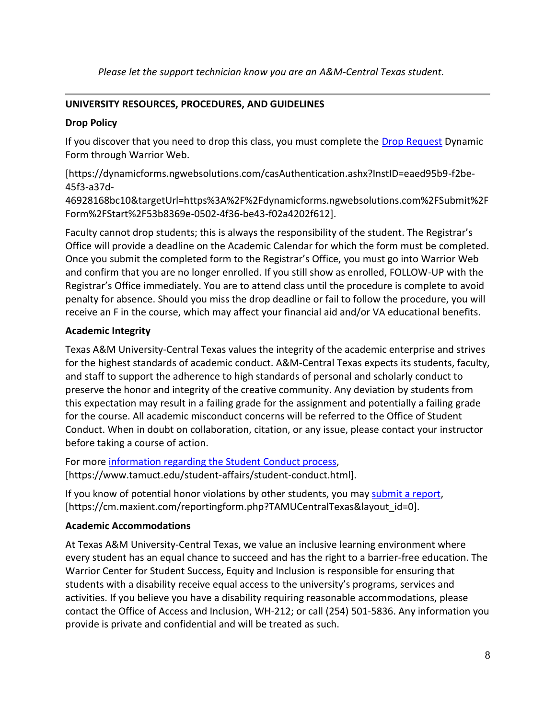*Please let the support technician know you are an A&M-Central Texas student.*

# **UNIVERSITY RESOURCES, PROCEDURES, AND GUIDELINES**

## **Drop Policy**

If you discover that you need to drop this class, you must complete the [Drop Request](https://dynamicforms.ngwebsolutions.com/casAuthentication.ashx?InstID=eaed95b9-f2be-45f3-a37d-46928168bc10&targetUrl=https%3A%2F%2Fdynamicforms.ngwebsolutions.com%2FSubmit%2FForm%2FStart%2F53b8369e-0502-4f36-be43-f02a4202f612) Dynamic Form through Warrior Web.

[https://dynamicforms.ngwebsolutions.com/casAuthentication.ashx?InstID=eaed95b9-f2be-45f3-a37d-

46928168bc10&targetUrl=https%3A%2F%2Fdynamicforms.ngwebsolutions.com%2FSubmit%2F Form%2FStart%2F53b8369e-0502-4f36-be43-f02a4202f612].

Faculty cannot drop students; this is always the responsibility of the student. The Registrar's Office will provide a deadline on the Academic Calendar for which the form must be completed. Once you submit the completed form to the Registrar's Office, you must go into Warrior Web and confirm that you are no longer enrolled. If you still show as enrolled, FOLLOW-UP with the Registrar's Office immediately. You are to attend class until the procedure is complete to avoid penalty for absence. Should you miss the drop deadline or fail to follow the procedure, you will receive an F in the course, which may affect your financial aid and/or VA educational benefits.

## **Academic Integrity**

Texas A&M University-Central Texas values the integrity of the academic enterprise and strives for the highest standards of academic conduct. A&M-Central Texas expects its students, faculty, and staff to support the adherence to high standards of personal and scholarly conduct to preserve the honor and integrity of the creative community. Any deviation by students from this expectation may result in a failing grade for the assignment and potentially a failing grade for the course. All academic misconduct concerns will be referred to the Office of Student Conduct. When in doubt on collaboration, citation, or any issue, please contact your instructor before taking a course of action.

For more [information](https://nam04.safelinks.protection.outlook.com/?url=https%3A%2F%2Fwww.tamuct.edu%2Fstudent-affairs%2Fstudent-conduct.html&data=04%7C01%7Clisa.bunkowski%40tamuct.edu%7Ccfb6e486f24745f53e1a08d910055cb2%7C9eed4e3000f744849ff193ad8005acec%7C0%7C0%7C637558437485252160%7CUnknown%7CTWFpbGZsb3d8eyJWIjoiMC4wLjAwMDAiLCJQIjoiV2luMzIiLCJBTiI6Ik1haWwiLCJXVCI6Mn0%3D%7C1000&sdata=yjftDEVHvLX%2FhM%2FcFU0B99krV1RgEWR%2BJ%2BhvtoR6TYk%3D&reserved=0) regarding the Student Conduct process, [https://www.tamuct.edu/student-affairs/student-conduct.html].

If you know of potential honor violations by other students, you may [submit](https://nam04.safelinks.protection.outlook.com/?url=https%3A%2F%2Fcm.maxient.com%2Freportingform.php%3FTAMUCentralTexas%26layout_id%3D0&data=04%7C01%7Clisa.bunkowski%40tamuct.edu%7Ccfb6e486f24745f53e1a08d910055cb2%7C9eed4e3000f744849ff193ad8005acec%7C0%7C0%7C637558437485262157%7CUnknown%7CTWFpbGZsb3d8eyJWIjoiMC4wLjAwMDAiLCJQIjoiV2luMzIiLCJBTiI6Ik1haWwiLCJXVCI6Mn0%3D%7C1000&sdata=CXGkOa6uPDPX1IMZ87z3aZDq2n91xfHKu4MMS43Ejjk%3D&reserved=0) a report, [https://cm.maxient.com/reportingform.php?TAMUCentralTexas&layout\_id=0].

# **Academic Accommodations**

At Texas A&M University-Central Texas, we value an inclusive learning environment where every student has an equal chance to succeed and has the right to a barrier-free education. The Warrior Center for Student Success, Equity and Inclusion is responsible for ensuring that students with a disability receive equal access to the university's programs, services and activities. If you believe you have a disability requiring reasonable accommodations, please contact the Office of Access and Inclusion, WH-212; or call (254) 501-5836. Any information you provide is private and confidential and will be treated as such.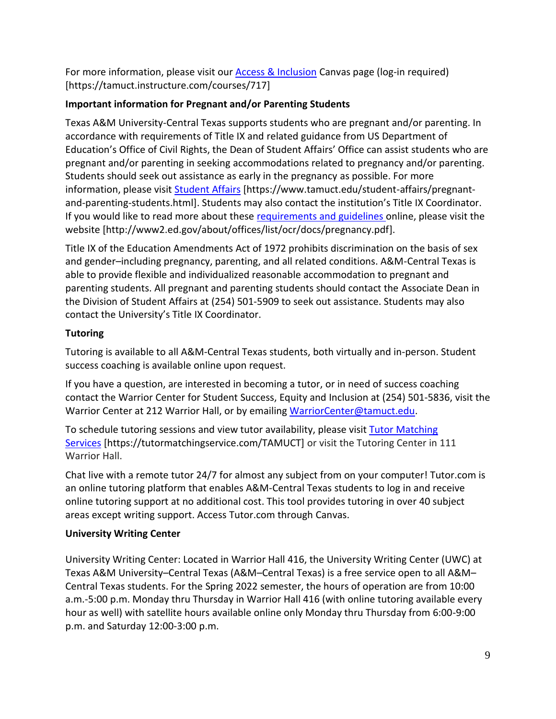For more information, please visit our [Access & Inclusion](https://tamuct.instructure.com/courses/717) Canvas page (log-in required) [https://tamuct.instructure.com/courses/717]

# **Important information for Pregnant and/or Parenting Students**

Texas A&M University-Central Texas supports students who are pregnant and/or parenting. In accordance with requirements of Title IX and related guidance from US Department of Education's Office of Civil Rights, the Dean of Student Affairs' Office can assist students who are pregnant and/or parenting in seeking accommodations related to pregnancy and/or parenting. Students should seek out assistance as early in the pregnancy as possible. For more information, please visit [Student Affairs](https://www.tamuct.edu/student-affairs/pregnant-and-parenting-students.html) [https://www.tamuct.edu/student-affairs/pregnantand-parenting-students.html]. Students may also contact the institution's Title IX Coordinator. If you would like to read more about these [requirements and guidelines](http://www2.ed.gov/about/offices/list/ocr/docs/pregnancy.pdf) online, please visit the website [http://www2.ed.gov/about/offices/list/ocr/docs/pregnancy.pdf].

Title IX of the Education Amendments Act of 1972 prohibits discrimination on the basis of sex and gender–including pregnancy, parenting, and all related conditions. A&M-Central Texas is able to provide flexible and individualized reasonable accommodation to pregnant and parenting students. All pregnant and parenting students should contact the Associate Dean in the Division of Student Affairs at (254) 501-5909 to seek out assistance. Students may also contact the University's Title IX Coordinator.

# **Tutoring**

Tutoring is available to all A&M-Central Texas students, both virtually and in-person. Student success coaching is available online upon request.

If you have a question, are interested in becoming a tutor, or in need of success coaching contact the Warrior Center for Student Success, Equity and Inclusion at (254) 501-5836, visit the Warrior Center at 212 Warrior Hall, or by emailing [WarriorCenter@tamuct.edu.](mailto:WarriorCenter@tamuct.edu)

To schedule tutoring sessions and view tutor availability, please visit Tutor [Matching](https://tutormatchingservice.com/TAMUCT) [Services](https://tutormatchingservice.com/TAMUCT) [https://tutormatchingservice.com/TAMUCT] or visit the Tutoring Center in 111 Warrior Hall.

Chat live with a remote tutor 24/7 for almost any subject from on your computer! Tutor.com is an online tutoring platform that enables A&M-Central Texas students to log in and receive online tutoring support at no additional cost. This tool provides tutoring in over 40 subject areas except writing support. Access Tutor.com through Canvas.

# **University Writing Center**

University Writing Center: Located in Warrior Hall 416, the University Writing Center (UWC) at Texas A&M University–Central Texas (A&M–Central Texas) is a free service open to all A&M– Central Texas students. For the Spring 2022 semester, the hours of operation are from 10:00 a.m.-5:00 p.m. Monday thru Thursday in Warrior Hall 416 (with online tutoring available every hour as well) with satellite hours available online only Monday thru Thursday from 6:00-9:00 p.m. and Saturday 12:00-3:00 p.m.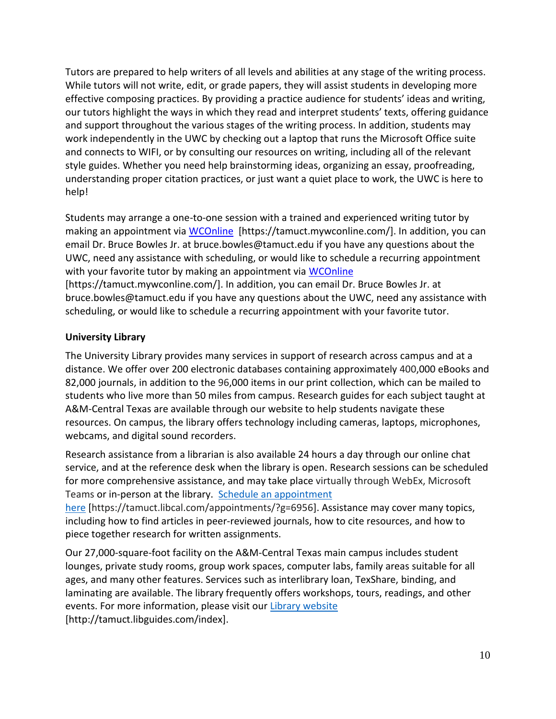Tutors are prepared to help writers of all levels and abilities at any stage of the writing process. While tutors will not write, edit, or grade papers, they will assist students in developing more effective composing practices. By providing a practice audience for students' ideas and writing, our tutors highlight the ways in which they read and interpret students' texts, offering guidance and support throughout the various stages of the writing process. In addition, students may work independently in the UWC by checking out a laptop that runs the Microsoft Office suite and connects to WIFI, or by consulting our resources on writing, including all of the relevant style guides. Whether you need help brainstorming ideas, organizing an essay, proofreading, understanding proper citation practices, or just want a quiet place to work, the UWC is here to help!

Students may arrange a one-to-one session with a trained and experienced writing tutor by making an appointment via [WCOnline](https://tamuct.mywconline.com/) [https://tamuct.mywconline.com/]. In addition, you can email Dr. Bruce Bowles Jr. at bruce.bowles@tamuct.edu if you have any questions about the UWC, need any assistance with scheduling, or would like to schedule a recurring appointment with your favorite tutor by making an appointment via [WCOnline](https://tamuct.mywconline.com/) [https://tamuct.mywconline.com/]. In addition, you can email Dr. Bruce Bowles Jr. at bruce.bowles@tamuct.edu if you have any questions about the UWC, need any assistance with scheduling, or would like to schedule a recurring appointment with your favorite tutor.

# **University Library**

The University Library provides many services in support of research across campus and at a distance. We offer over 200 electronic databases containing approximately 400,000 eBooks and 82,000 journals, in addition to the 96,000 items in our print collection, which can be mailed to students who live more than 50 miles from campus. Research guides for each subject taught at A&M-Central Texas are available through our website to help students navigate these resources. On campus, the library offers technology including cameras, laptops, microphones, webcams, and digital sound recorders.

Research assistance from a librarian is also available 24 hours a day through our online chat service, and at the reference desk when the library is open. Research sessions can be scheduled for more comprehensive assistance, and may take place virtually through WebEx, Microsoft Teams or in-person at the library. Schedule an [appointment](https://nam04.safelinks.protection.outlook.com/?url=https%3A%2F%2Ftamuct.libcal.com%2Fappointments%2F%3Fg%3D6956&data=04%7C01%7Clisa.bunkowski%40tamuct.edu%7Cde2c07d9f5804f09518008d9ab7ba6ff%7C9eed4e3000f744849ff193ad8005acec%7C0%7C0%7C637729369835011558%7CUnknown%7CTWFpbGZsb3d8eyJWIjoiMC4wLjAwMDAiLCJQIjoiV2luMzIiLCJBTiI6Ik1haWwiLCJXVCI6Mn0%3D%7C3000&sdata=KhtjgRSAw9aq%2FoBsB6wyu8b7PSuGN5EGPypzr3Ty2No%3D&reserved=0)

[here](https://nam04.safelinks.protection.outlook.com/?url=https%3A%2F%2Ftamuct.libcal.com%2Fappointments%2F%3Fg%3D6956&data=04%7C01%7Clisa.bunkowski%40tamuct.edu%7Cde2c07d9f5804f09518008d9ab7ba6ff%7C9eed4e3000f744849ff193ad8005acec%7C0%7C0%7C637729369835011558%7CUnknown%7CTWFpbGZsb3d8eyJWIjoiMC4wLjAwMDAiLCJQIjoiV2luMzIiLCJBTiI6Ik1haWwiLCJXVCI6Mn0%3D%7C3000&sdata=KhtjgRSAw9aq%2FoBsB6wyu8b7PSuGN5EGPypzr3Ty2No%3D&reserved=0) [https://tamuct.libcal.com/appointments/?g=6956]. Assistance may cover many topics, including how to find articles in peer-reviewed journals, how to cite resources, and how to piece together research for written assignments.

Our 27,000-square-foot facility on the A&M-Central Texas main campus includes student lounges, private study rooms, group work spaces, computer labs, family areas suitable for all ages, and many other features. Services such as interlibrary loan, TexShare, binding, and laminating are available. The library frequently offers workshops, tours, readings, and other events. For more information, please visit our Library [website](https://nam04.safelinks.protection.outlook.com/?url=https%3A%2F%2Ftamuct.libguides.com%2Findex&data=04%7C01%7Clisa.bunkowski%40tamuct.edu%7C7d8489e8839a4915335f08d916f067f2%7C9eed4e3000f744849ff193ad8005acec%7C0%7C0%7C637566044056484222%7CUnknown%7CTWFpbGZsb3d8eyJWIjoiMC4wLjAwMDAiLCJQIjoiV2luMzIiLCJBTiI6Ik1haWwiLCJXVCI6Mn0%3D%7C1000&sdata=2R755V6rcIyedGrd4Os5rkgn1PvhHKU3kUV1vBKiHFo%3D&reserved=0) [http://tamuct.libguides.com/index].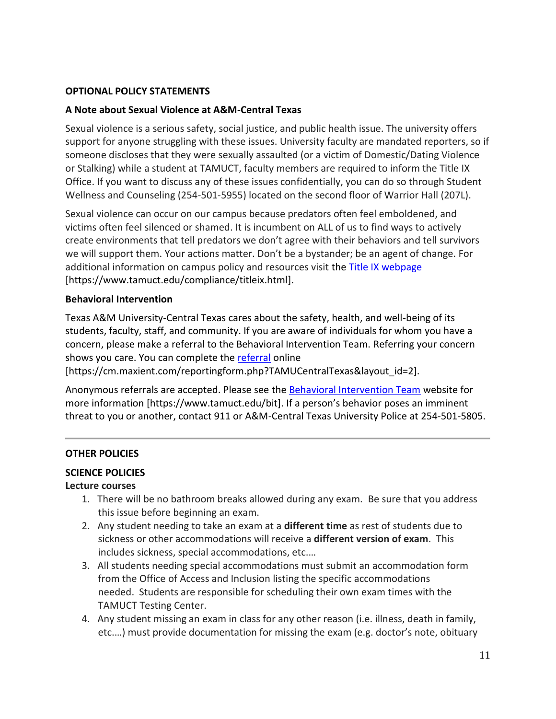#### **OPTIONAL POLICY STATEMENTS**

#### **A Note about Sexual Violence at A&M-Central Texas**

Sexual violence is a serious safety, social justice, and public health issue. The university offers support for anyone struggling with these issues. University faculty are mandated reporters, so if someone discloses that they were sexually assaulted (or a victim of Domestic/Dating Violence or Stalking) while a student at TAMUCT, faculty members are required to inform the Title IX Office. If you want to discuss any of these issues confidentially, you can do so through Student Wellness and Counseling (254-501-5955) located on the second floor of Warrior Hall (207L).

Sexual violence can occur on our campus because predators often feel emboldened, and victims often feel silenced or shamed. It is incumbent on ALL of us to find ways to actively create environments that tell predators we don't agree with their behaviors and tell survivors we will support them. Your actions matter. Don't be a bystander; be an agent of change. For additional information on campus policy and resources visit the [Title IX webpage](https://www.tamuct.edu/compliance/titleix.html) [\[https://www.tamuct.edu/compliance/titleix.html\]](https://www.tamuct.edu/compliance/titleix.html).

#### **Behavioral Intervention**

Texas A&M University-Central Texas cares about the safety, health, and well-being of its students, faculty, staff, and community. If you are aware of individuals for whom you have a concern, please make a referral to the Behavioral Intervention Team. Referring your concern shows you care. You can complete the [referral](https://cm.maxient.com/reportingform.php?TAMUCentralTexas&layout_id=2) online

[https://cm.maxient.com/reportingform.php?TAMUCentralTexas&layout\_id=2].

Anonymous referrals are accepted. Please see the [Behavioral Intervention Team](https://www.tamuct.edu/bit) website for more information [https://www.tamuct.edu/bit]. If a person's behavior poses an imminent threat to you or another, contact 911 or A&M-Central Texas University Police at 254-501-5805.

#### **OTHER POLICIES**

#### **SCIENCE POLICIES**

#### **Lecture courses**

- 1. There will be no bathroom breaks allowed during any exam. Be sure that you address this issue before beginning an exam.
- 2. Any student needing to take an exam at a **different time** as rest of students due to sickness or other accommodations will receive a **different version of exam**. This includes sickness, special accommodations, etc.…
- 3. All students needing special accommodations must submit an accommodation form from the Office of Access and Inclusion listing the specific accommodations needed. Students are responsible for scheduling their own exam times with the TAMUCT Testing Center.
- 4. Any student missing an exam in class for any other reason (i.e. illness, death in family, etc.…) must provide documentation for missing the exam (e.g. doctor's note, obituary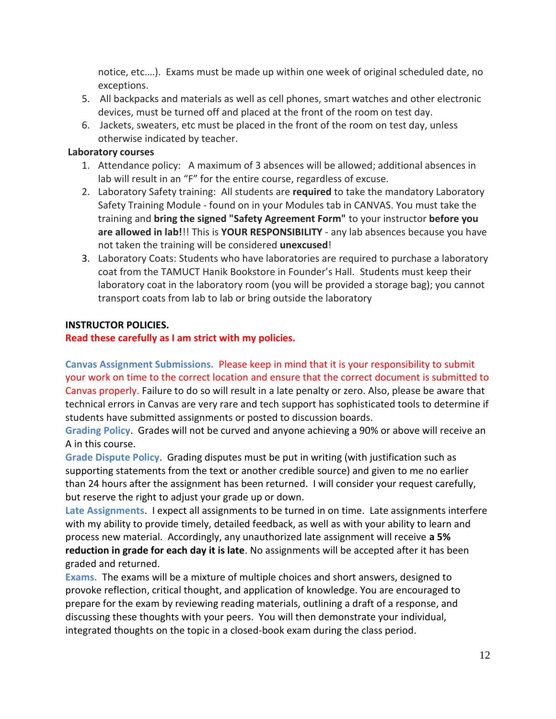notice, etc.…). Exams must be made up within one week of original scheduled date, no exceptions.

- 5. All backpacks and materials as well as cell phones, smart watches and other electronic devices, must be turned off and placed at the front of the room on test day.
- 6. Jackets, sweaters, etc must be placed in the front of the room on test day, unless otherwise indicated by teacher.

## **Laboratory courses**

- 1. Attendance policy: A maximum of 3 absences will be allowed; additional absences in lab will result in an "F" for the entire course, regardless of excuse.
- 2. Laboratory Safety training: All students are **required** to take the mandatory Laboratory Safety Training Module - found on in your Modules tab in CANVAS. You must take the training and **bring the signed "Safety Agreement Form"** to your instructor **before you are allowed in lab!**!! This is **YOUR RESPONSIBILITY** - any lab absences because you have not taken the training will be considered **unexcused**!
- 3. Laboratory Coats: Students who have laboratories are required to purchase a laboratory coat from the TAMUCT Hanik Bookstore in Founder's Hall. Students must keep their laboratory coat in the laboratory room (you will be provided a storage bag); you cannot transport coats from lab to lab or bring outside the laboratory

# **INSTRUCTOR POLICIES.**

## **Read these carefully as I am strict with my policies.**

**Canvas Assignment Submissions.** Please keep in mind that it is your responsibility to submit your work on time to the correct location and ensure that the correct document is submitted to Canvas properly. Failure to do so will result in a late penalty or zero. Also, please be aware that technical errors in Canvas are very rare and tech support has sophisticated tools to determine if students have submitted assignments or posted to discussion boards.

**Grading Policy**. Grades will not be curved and anyone achieving a 90% or above will receive an A in this course.

**Grade Dispute Policy**. Grading disputes must be put in writing (with justification such as supporting statements from the text or another credible source) and given to me no earlier than 24 hours after the assignment has been returned. I will consider your request carefully, but reserve the right to adjust your grade up or down.

**Late Assignments**. I expect all assignments to be turned in on time. Late assignments interfere with my ability to provide timely, detailed feedback, as well as with your ability to learn and process new material. Accordingly, any unauthorized late assignment will receive **a 5% reduction in grade for each day it is late**. No assignments will be accepted after it has been graded and returned.

**Exams.** The exams will be a mixture of multiple choices and short answers, designed to provoke reflection, critical thought, and application of knowledge. You are encouraged to prepare for the exam by reviewing reading materials, outlining a draft of a response, and discussing these thoughts with your peers. You will then demonstrate your individual, integrated thoughts on the topic in a closed-book exam during the class period.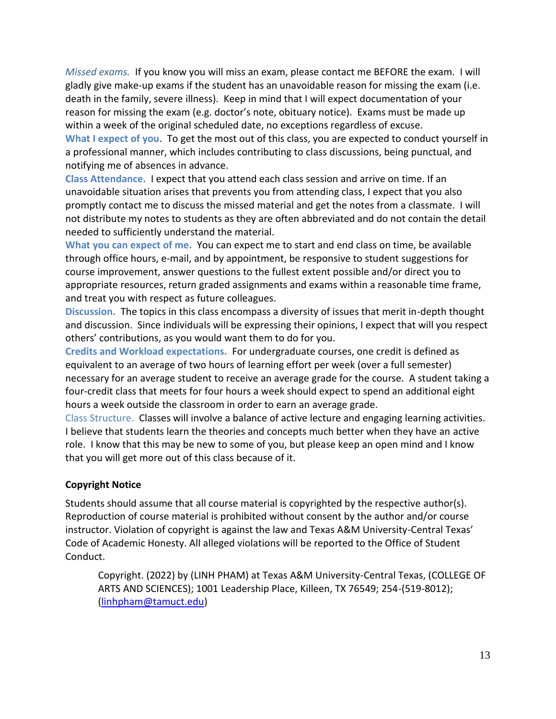*Missed exams.* If you know you will miss an exam, please contact me BEFORE the exam. I will gladly give make-up exams if the student has an unavoidable reason for missing the exam (i.e. death in the family, severe illness). Keep in mind that I will expect documentation of your reason for missing the exam (e.g. doctor's note, obituary notice). Exams must be made up within a week of the original scheduled date, no exceptions regardless of excuse. **What I expect of you**. To get the most out of this class, you are expected to conduct yourself in a professional manner, which includes contributing to class discussions, being punctual, and notifying me of absences in advance.

**Class Attendance.** I expect that you attend each class session and arrive on time. If an unavoidable situation arises that prevents you from attending class, I expect that you also promptly contact me to discuss the missed material and get the notes from a classmate. I will not distribute my notes to students as they are often abbreviated and do not contain the detail needed to sufficiently understand the material.

**What you can expect of me.** You can expect me to start and end class on time, be available through office hours, e-mail, and by appointment, be responsive to student suggestions for course improvement, answer questions to the fullest extent possible and/or direct you to appropriate resources, return graded assignments and exams within a reasonable time frame, and treat you with respect as future colleagues.

**Discussion.** The topics in this class encompass a diversity of issues that merit in-depth thought and discussion. Since individuals will be expressing their opinions, I expect that will you respect others' contributions, as you would want them to do for you.

**Credits and Workload expectations.** For undergraduate courses, one credit is defined as equivalent to an average of two hours of learning effort per week (over a full semester) necessary for an average student to receive an average grade for the course. A student taking a four-credit class that meets for four hours a week should expect to spend an additional eight hours a week outside the classroom in order to earn an average grade.

Class Structure.Classes will involve a balance of active lecture and engaging learning activities. I believe that students learn the theories and concepts much better when they have an active role. I know that this may be new to some of you, but please keep an open mind and I know that you will get more out of this class because of it.

# **Copyright Notice**

Students should assume that all course material is copyrighted by the respective author(s). Reproduction of course material is prohibited without consent by the author and/or course instructor. Violation of copyright is against the law and Texas A&M University-Central Texas' Code of Academic Honesty. All alleged violations will be reported to the Office of Student Conduct.

Copyright. (2022) by (LINH PHAM) at Texas A&M University-Central Texas, (COLLEGE OF ARTS AND SCIENCES); 1001 Leadership Place, Killeen, TX 76549; 254-(519-8012); [\(linhpham@tamuct.edu\)](mailto:linhpham@tamuct.edu)